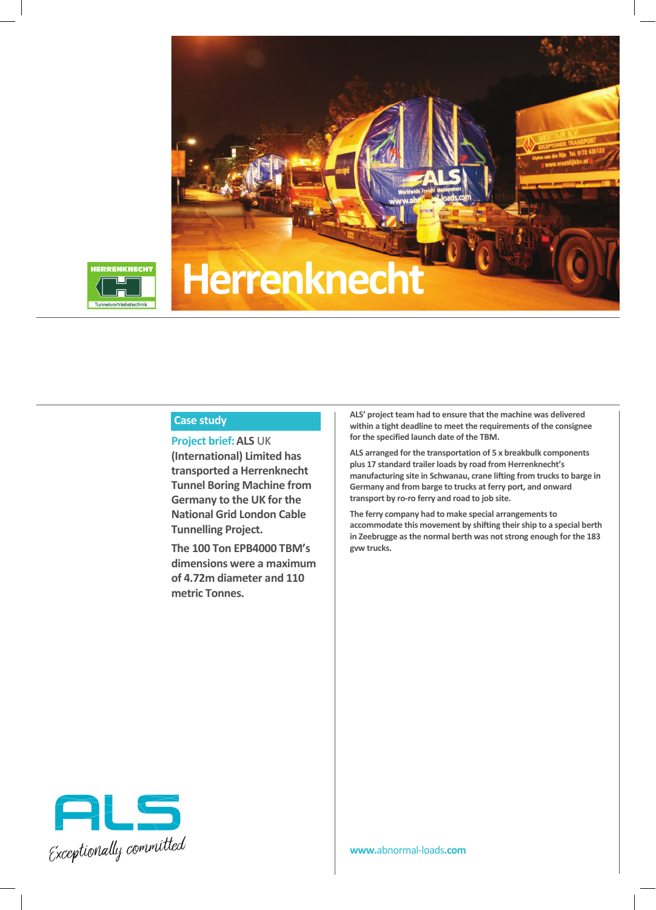



## **Case study**

**Project brief:ALS** UK **(International) Limited has transported a Herrenknecht Tunnel Boring Machine from Germany to the UK for the National Grid London Cable Tunnelling Project.**

**The 100 Ton EPB4000 TBM's dimensions were a maximum of 4.72m diameter and 110 metric Tonnes.**

**ALS' project team had to ensure that the machine was delivered within a tight deadline to meet the requirements of the consignee for the specified launch date of the TBM.**

**ALS arranged for the transportation of 5 x breakbulk components plus 17 standard trailer loads by road from Herrenknecht's manufacturing site in Schwanau, crane lifting from trucksto barge in Germany and from barge to trucks at ferry port, and onward transport by ro-ro ferry and road to job site.**

**The ferry company had to make special arrangements to accommodate this movement by shifting their ship to a special berth in Zeebrugge as the normal berth was not strong enough for the 183 gvw trucks.**